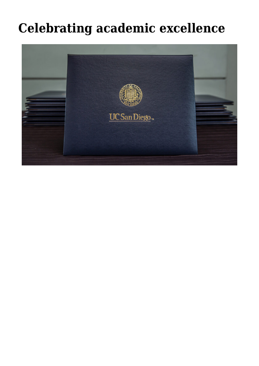## **[Celebrating academic excellence](https://gpsnews.ucsd.edu/celebrating-academic-excellence/)**

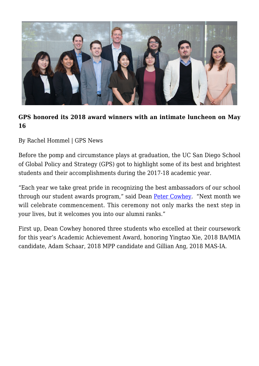

## **GPS honored its 2018 award winners with an intimate luncheon on May 16**

## By Rachel Hommel | GPS News

Before the pomp and circumstance plays at graduation, the UC San Diego School of Global Policy and Strategy (GPS) got to highlight some of its best and brightest students and their accomplishments during the 2017-18 academic year.

"Each year we take great pride in recognizing the best ambassadors of our school through our student awards program," said Dean [Peter Cowhey.](https://gps.ucsd.edu/faculty-directory/peter-cowhey.html) "Next month we will celebrate commencement. This ceremony not only marks the next step in your lives, but it welcomes you into our alumni ranks."

First up, Dean Cowhey honored three students who excelled at their coursework for this year's Academic Achievement Award, honoring Yingtao Xie, 2018 BA/MIA candidate, Adam Schaar, 2018 MPP candidate and Gillian Ang, 2018 MAS-IA.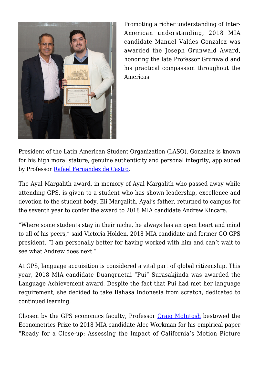

Promoting a richer understanding of Inter-American understanding, 2018 MIA candidate Manuel Valdes Gonzalez was awarded the Joseph Grunwald Award, honoring the late Professor Grunwald and his practical compassion throughout the Americas.

President of the Latin American Student Organization (LASO), Gonzalez is known for his high moral stature, genuine authenticity and personal integrity, applauded by Professor [Rafael Fernandez de Castro.](https://gps.ucsd.edu/faculty-directory/rafael-fernandez-de-castro.html)

The Ayal Margalith award, in memory of Ayal Margalith who passed away while attending GPS, is given to a student who has shown leadership, excellence and devotion to the student body. Eli Margalith, Ayal's father, returned to campus for the seventh year to confer the award to 2018 MIA candidate Andrew Kincare.

"Where some students stay in their niche, he always has an open heart and mind to all of his peers," said Victoria Holden, 2018 MIA candidate and former GO GPS president. "I am personally better for having worked with him and can't wait to see what Andrew does next."

At GPS, language acquisition is considered a vital part of global citizenship. This year, 2018 MIA candidate Duangruetai "Pui" Surasakjinda was awarded the Language Achievement award. Despite the fact that Pui had met her language requirement, she decided to take Bahasa Indonesia from scratch, dedicated to continued learning.

Chosen by the GPS economics faculty, Professor [Craig McIntosh](https://gps.ucsd.edu/faculty-directory/craig-mcintosh.html) bestowed the Econometrics Prize to 2018 MIA candidate Alec Workman for his empirical paper "Ready for a Close-up: Assessing the Impact of California's Motion Picture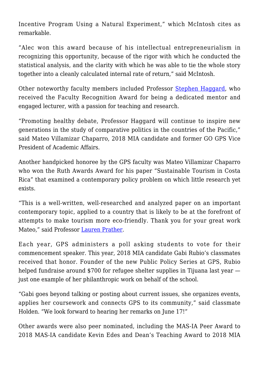Incentive Program Using a Natural Experiment," which McIntosh cites as remarkable.

"Alec won this award because of his intellectual entrepreneurialism in recognizing this opportunity, because of the rigor with which he conducted the statistical analysis, and the clarity with which he was able to tie the whole story together into a cleanly calculated internal rate of return," said McIntosh.

Other noteworthy faculty members included Professor [Stephen Haggard](https://gps.ucsd.edu/faculty-directory/stephan-haggard.html), who received the Faculty Recognition Award for being a dedicated mentor and engaged lecturer, with a passion for teaching and research.

"Promoting healthy debate, Professor Haggard will continue to inspire new generations in the study of comparative politics in the countries of the Pacific," said Mateo Villamizar Chaparro, 2018 MIA candidate and former GO GPS Vice President of Academic Affairs.

Another handpicked honoree by the GPS faculty was Mateo Villamizar Chaparro who won the Ruth Awards Award for his paper "Sustainable Tourism in Costa Rica" that examined a contemporary policy problem on which little research yet exists.

"This is a well-written, well-researched and analyzed paper on an important contemporary topic, applied to a country that is likely to be at the forefront of attempts to make tourism more eco-friendly. Thank you for your great work Mateo," said Professor [Lauren Prather.](https://gps.ucsd.edu/faculty-directory/lauren-prather.html)

Each year, GPS administers a poll asking students to vote for their commencement speaker. This year, 2018 MIA candidate Gabi Rubio's classmates received that honor. Founder of the new Public Policy Series at GPS, Rubio helped fundraise around \$700 for refugee shelter supplies in Tijuana last year just one example of her philanthropic work on behalf of the school.

"Gabi goes beyond talking or posting about current issues, she organizes events, applies her coursework and connects GPS to its community," said classmate Holden. "We look forward to hearing her remarks on June 17!"

Other awards were also peer nominated, including the MAS-IA Peer Award to 2018 MAS-IA candidate Kevin Edes and Dean's Teaching Award to 2018 MIA